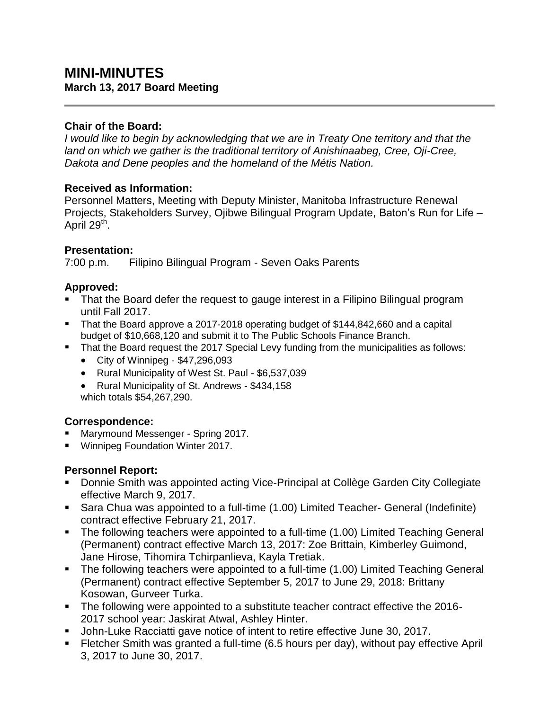# **MINI-MINUTES March 13, 2017 Board Meeting**

#### **Chair of the Board:**

*I would like to begin by acknowledging that we are in Treaty One territory and that the land on which we gather is the traditional territory of Anishinaabeg, Cree, Oji-Cree, Dakota and Dene peoples and the homeland of the Métis Nation.*

### **Received as Information:**

Personnel Matters, Meeting with Deputy Minister, Manitoba Infrastructure Renewal Projects, Stakeholders Survey, Ojibwe Bilingual Program Update, Baton's Run for Life – April 29<sup>th</sup>.

### **Presentation:**

7:00 p.m. Filipino Bilingual Program - Seven Oaks Parents

## **Approved:**

- That the Board defer the request to gauge interest in a Filipino Bilingual program until Fall 2017.
- That the Board approve a 2017-2018 operating budget of \$144,842,660 and a capital budget of \$10,668,120 and submit it to The Public Schools Finance Branch.
- That the Board request the 2017 Special Levy funding from the municipalities as follows:
	- $\bullet$  City of Winnipeg \$47,296,093
	- Rural Municipality of West St. Paul \$6,537,039
	- Rural Municipality of St. Andrews \$434,158 which totals \$54,267,290.

## **Correspondence:**

- Marymound Messenger Spring 2017.
- **Winnipeg Foundation Winter 2017.**

## **Personnel Report:**

- **Donnie Smith was appointed acting Vice-Principal at Collège Garden City Collegiate** effective March 9, 2017.
- Sara Chua was appointed to a full-time (1.00) Limited Teacher- General (Indefinite) contract effective February 21, 2017.
- The following teachers were appointed to a full-time (1.00) Limited Teaching General (Permanent) contract effective March 13, 2017: Zoe Brittain, Kimberley Guimond, Jane Hirose, Tihomira Tchirpanlieva, Kayla Tretiak.
- The following teachers were appointed to a full-time (1.00) Limited Teaching General (Permanent) contract effective September 5, 2017 to June 29, 2018: Brittany Kosowan, Gurveer Turka.
- The following were appointed to a substitute teacher contract effective the 2016-2017 school year: Jaskirat Atwal, Ashley Hinter.
- **John-Luke Racciatti gave notice of intent to retire effective June 30, 2017.**
- Fletcher Smith was granted a full-time (6.5 hours per day), without pay effective April 3, 2017 to June 30, 2017.